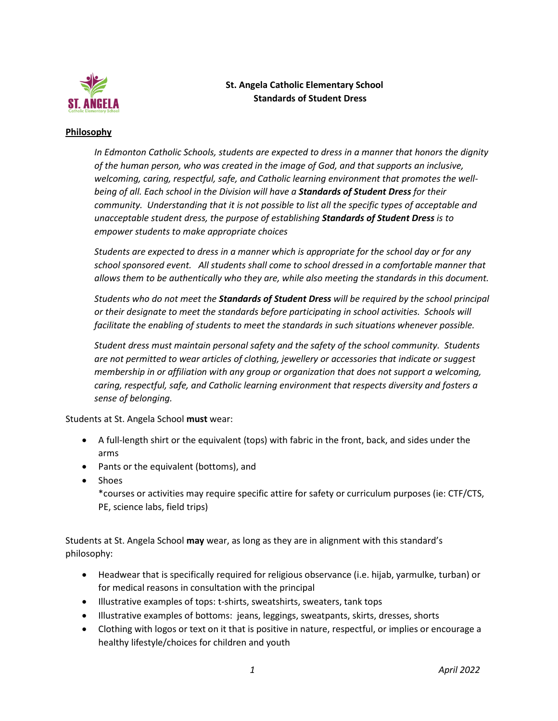

## **St. Angela Catholic Elementary School Standards of Student Dress**

## **Philosophy**

*In Edmonton Catholic Schools, students are expected to dress in a manner that honors the dignity of the human person, who was created in the image of God, and that supports an inclusive, welcoming, caring, respectful, safe, and Catholic learning environment that promotes the wellbeing of all. Each school in the Division will have a Standards of Student Dress for their community. Understanding that it is not possible to list all the specific types of acceptable and unacceptable student dress, the purpose of establishing Standards of Student Dress is to empower students to make appropriate choices*

*Students are expected to dress in a manner which is appropriate for the school day or for any school sponsored event. All students shall come to school dressed in a comfortable manner that allows them to be authentically who they are, while also meeting the standards in this document.*

*Students who do not meet the Standards of Student Dress will be required by the school principal or their designate to meet the standards before participating in school activities. Schools will facilitate the enabling of students to meet the standards in such situations whenever possible.*

*Student dress must maintain personal safety and the safety of the school community. Students are not permitted to wear articles of clothing, jewellery or accessories that indicate or suggest membership in or affiliation with any group or organization that does not support a welcoming, caring, respectful, safe, and Catholic learning environment that respects diversity and fosters a sense of belonging.* 

Students at St. Angela School **must** wear:

- A full-length shirt or the equivalent (tops) with fabric in the front, back, and sides under the arms
- Pants or the equivalent (bottoms), and
- Shoes

\*courses or activities may require specific attire for safety or curriculum purposes (ie: CTF/CTS, PE, science labs, field trips)

Students at St. Angela School **may** wear, as long as they are in alignment with this standard's philosophy:

- Headwear that is specifically required for religious observance (i.e. hijab, yarmulke, turban) or for medical reasons in consultation with the principal
- Illustrative examples of tops: t-shirts, sweatshirts, sweaters, tank tops
- Illustrative examples of bottoms: jeans, leggings, sweatpants, skirts, dresses, shorts
- Clothing with logos or text on it that is positive in nature, respectful, or implies or encourage a healthy lifestyle/choices for children and youth